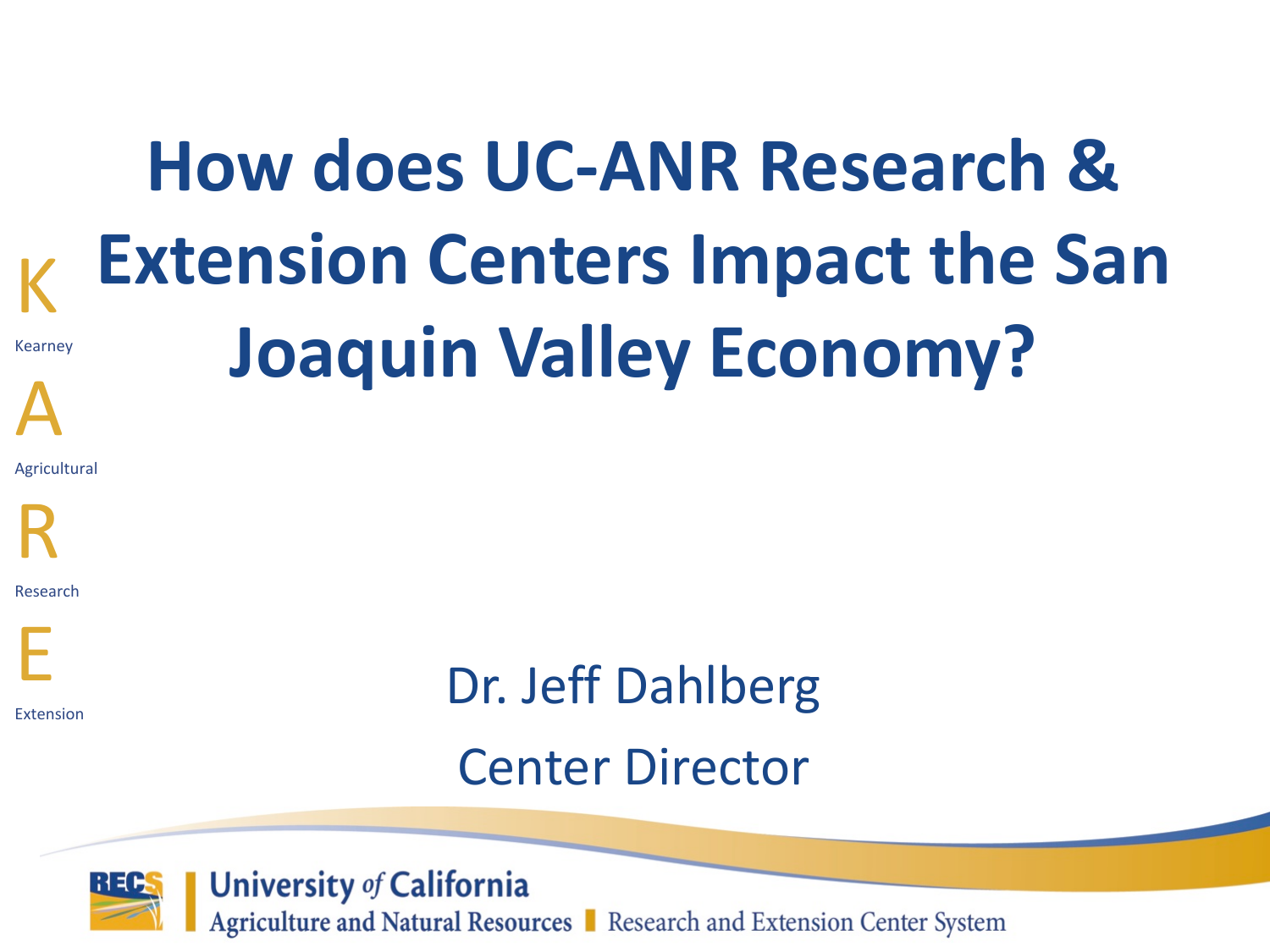## **How does UC-ANR Research & Extension Centers Impact the San Joaquin Valley Economy?**

Agricultural



K

Kearney

A

Research



Extension

# Dr. Jeff Dahlberg

#### Center Director



**University of California** Agriculture and Natural Resources Research and Extension Center System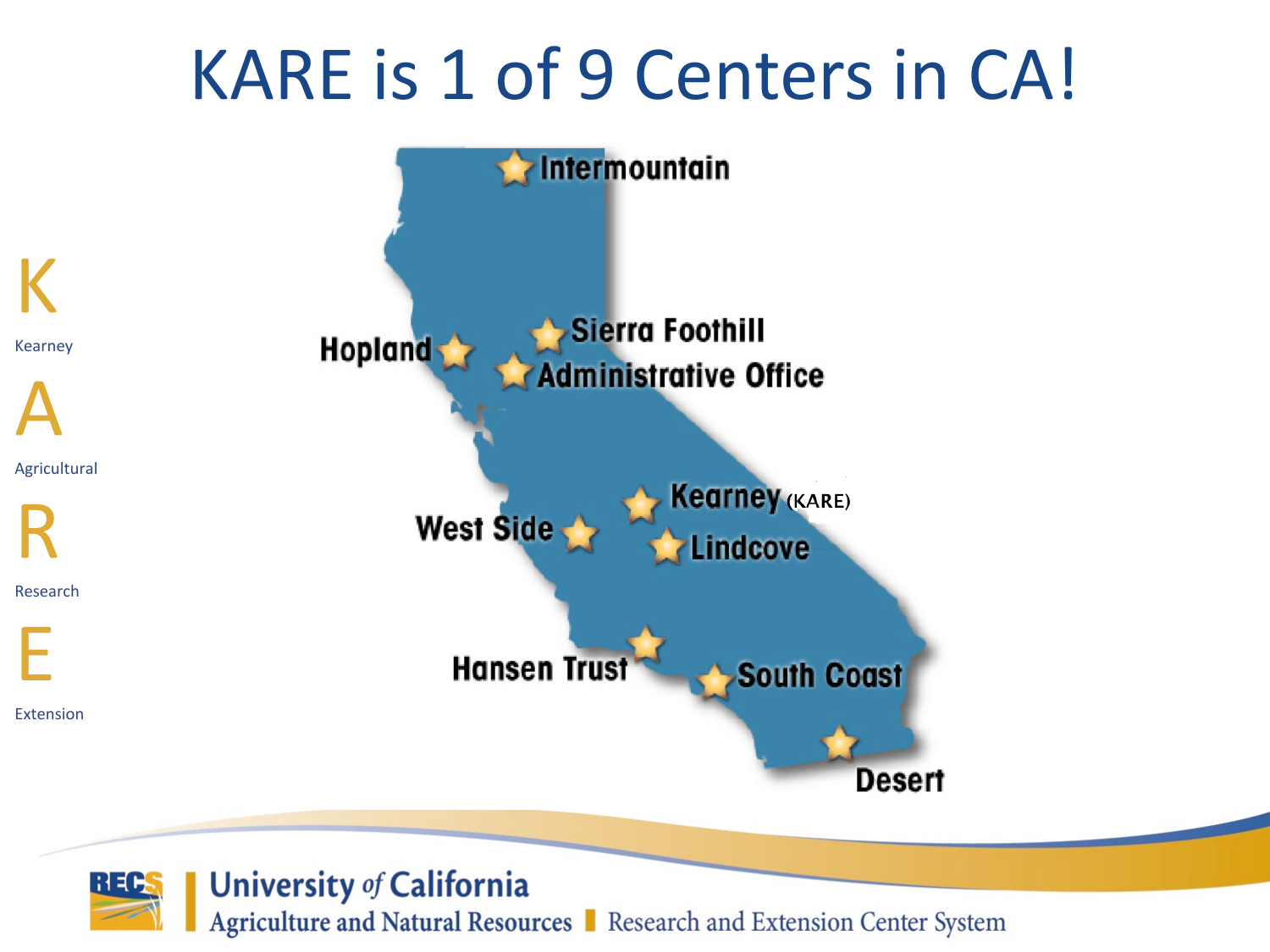#### KARE is 1 of 9 Centers in CA!



**University of California** 

Agriculture and Natural Resources | Research and Extension Center System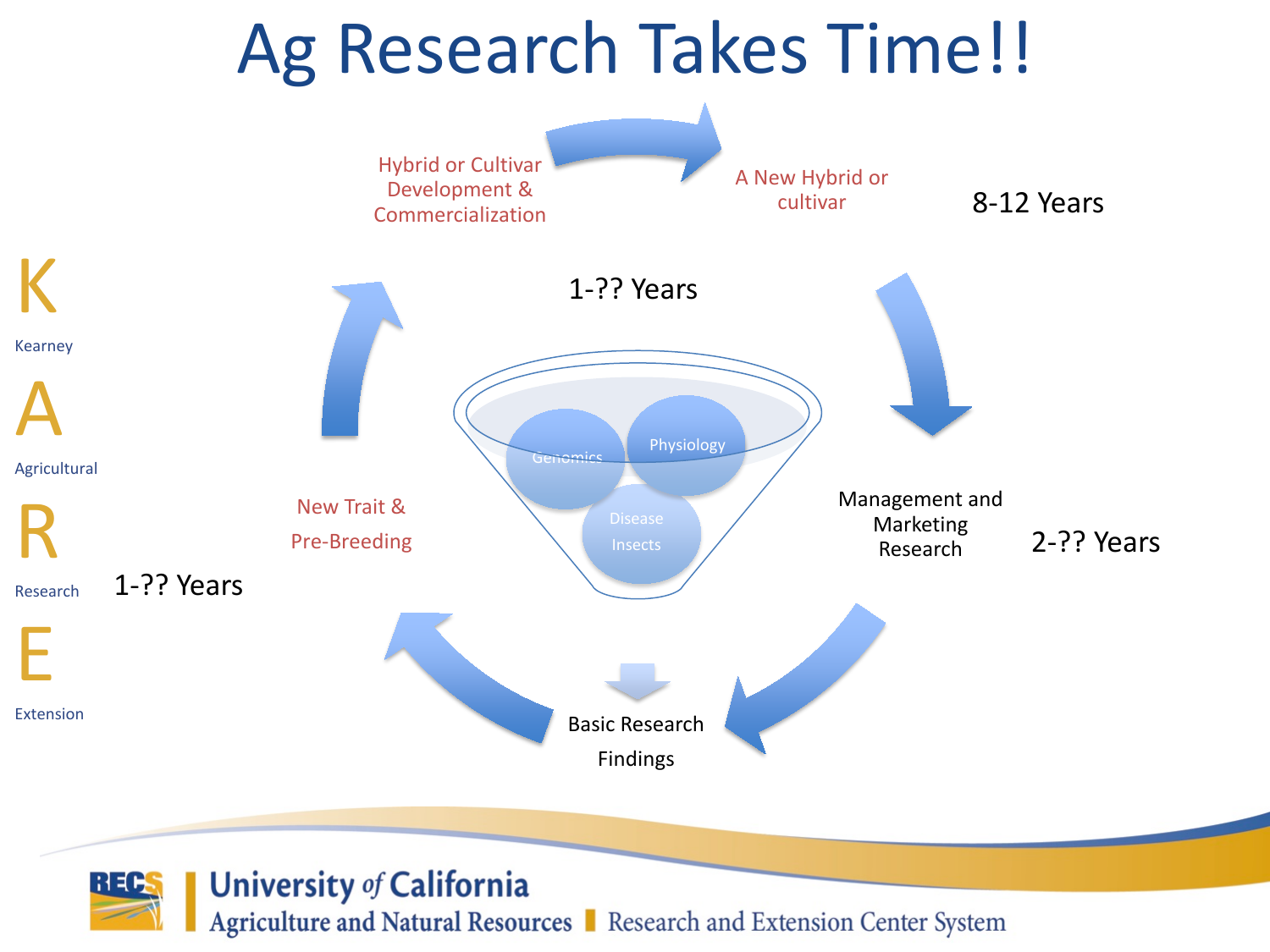#### Ag Research Takes Time!!